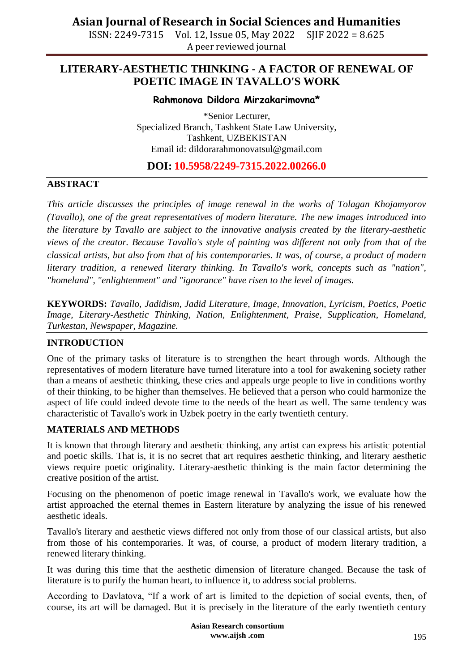ISSN: 2249-7315 Vol. 12, Issue 05, May 2022 SJIF 2022 = 8.625 A peer reviewed journal

## **LITERARY-AESTHETIC THINKING - A FACTOR OF RENEWAL OF POETIC IMAGE IN TAVALLO'S WORK**

## **Rahmonova Dildora Mirzakarimovna\***

\*Senior Lecturer, Specialized Branch, Tashkent State Law University, Tashkent, UZBEKISTAN Email id: [dildorarahmonovatsul@gmail.com](mailto:dildorarahmonovatsul@gmail.com)

## **DOI: 10.5958/2249-7315.2022.00266.0**

## **ABSTRACT**

*This article discusses the principles of image renewal in the works of Tolagan Khojamyorov (Tavallo), one of the great representatives of modern literature. The new images introduced into the literature by Tavallo are subject to the innovative analysis created by the literary-aesthetic views of the creator. Because Tavallo's style of painting was different not only from that of the classical artists, but also from that of his contemporaries. It was, of course, a product of modern literary tradition, a renewed literary thinking. In Tavallo's work, concepts such as "nation", "homeland", "enlightenment" and "ignorance" have risen to the level of images.*

**KEYWORDS:** *Tavallo, Jadidism, Jadid Literature, Image, Innovation, Lyricism, Poetics, Poetic Image, Literary-Aesthetic Thinking, Nation, Enlightenment, Praise, Supplication, Homeland, Turkestan, Newspaper, Magazine.*

### **INTRODUCTION**

One of the primary tasks of literature is to strengthen the heart through words. Although the representatives of modern literature have turned literature into a tool for awakening society rather than a means of aesthetic thinking, these cries and appeals urge people to live in conditions worthy of their thinking, to be higher than themselves. He believed that a person who could harmonize the aspect of life could indeed devote time to the needs of the heart as well. The same tendency was characteristic of Tavallo's work in Uzbek poetry in the early twentieth century.

### **MATERIALS AND METHODS**

It is known that through literary and aesthetic thinking, any artist can express his artistic potential and poetic skills. That is, it is no secret that art requires aesthetic thinking, and literary aesthetic views require poetic originality. Literary-aesthetic thinking is the main factor determining the creative position of the artist.

Focusing on the phenomenon of poetic image renewal in Tavallo's work, we evaluate how the artist approached the eternal themes in Eastern literature by analyzing the issue of his renewed aesthetic ideals.

Tavallo's literary and aesthetic views differed not only from those of our classical artists, but also from those of his contemporaries. It was, of course, a product of modern literary tradition, a renewed literary thinking.

It was during this time that the aesthetic dimension of literature changed. Because the task of literature is to purify the human heart, to influence it, to address social problems.

According to Davlatova, "If a work of art is limited to the depiction of social events, then, of course, its art will be damaged. But it is precisely in the literature of the early twentieth century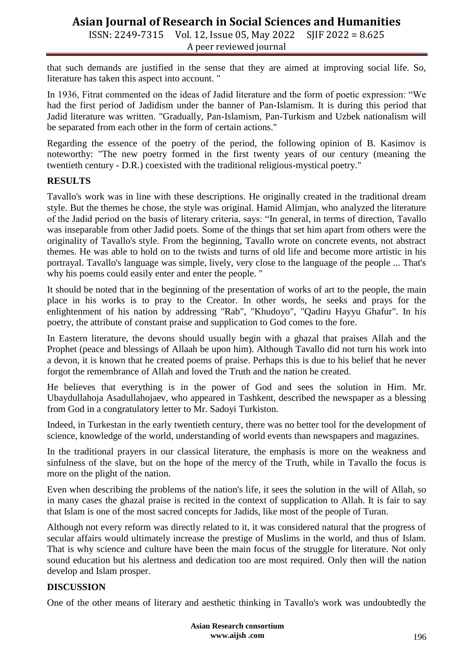ISSN: 2249-7315 Vol. 12, Issue 05, May 2022 SJIF 2022 = 8.625 A peer reviewed journal

that such demands are justified in the sense that they are aimed at improving social life. So, literature has taken this aspect into account. "

In 1936, Fitrat commented on the ideas of Jadid literature and the form of poetic expression: "We had the first period of Jadidism under the banner of Pan-Islamism. It is during this period that Jadid literature was written. "Gradually, Pan-Islamism, Pan-Turkism and Uzbek nationalism will be separated from each other in the form of certain actions."

Regarding the essence of the poetry of the period, the following opinion of B. Kasimov is noteworthy: "The new poetry formed in the first twenty years of our century (meaning the twentieth century - D.R.) coexisted with the traditional religious-mystical poetry."

## **RESULTS**

Tavallo's work was in line with these descriptions. He originally created in the traditional dream style. But the themes he chose, the style was original. Hamid Alimjan, who analyzed the literature of the Jadid period on the basis of literary criteria, says: "In general, in terms of direction, Tavallo was inseparable from other Jadid poets. Some of the things that set him apart from others were the originality of Tavallo's style. From the beginning, Tavallo wrote on concrete events, not abstract themes. He was able to hold on to the twists and turns of old life and become more artistic in his portrayal. Tavallo's language was simple, lively, very close to the language of the people ... That's why his poems could easily enter and enter the people. "

It should be noted that in the beginning of the presentation of works of art to the people, the main place in his works is to pray to the Creator. In other words, he seeks and prays for the enlightenment of his nation by addressing "Rab", "Khudoyo", "Qadiru Hayyu Ghafur". In his poetry, the attribute of constant praise and supplication to God comes to the fore.

In Eastern literature, the devons should usually begin with a ghazal that praises Allah and the Prophet (peace and blessings of Allaah be upon him). Although Tavallo did not turn his work into a devon, it is known that he created poems of praise. Perhaps this is due to his belief that he never forgot the remembrance of Allah and loved the Truth and the nation he created.

He believes that everything is in the power of God and sees the solution in Him. Mr. Ubaydullahoja Asadullahojaev, who appeared in Tashkent, described the newspaper as a blessing from God in a congratulatory letter to Mr. Sadoyi Turkiston.

Indeed, in Turkestan in the early twentieth century, there was no better tool for the development of science, knowledge of the world, understanding of world events than newspapers and magazines.

In the traditional prayers in our classical literature, the emphasis is more on the weakness and sinfulness of the slave, but on the hope of the mercy of the Truth, while in Tavallo the focus is more on the plight of the nation.

Even when describing the problems of the nation's life, it sees the solution in the will of Allah, so in many cases the ghazal praise is recited in the context of supplication to Allah. It is fair to say that Islam is one of the most sacred concepts for Jadids, like most of the people of Turan.

Although not every reform was directly related to it, it was considered natural that the progress of secular affairs would ultimately increase the prestige of Muslims in the world, and thus of Islam. That is why science and culture have been the main focus of the struggle for literature. Not only sound education but his alertness and dedication too are most required. Only then will the nation develop and Islam prosper.

## **DISCUSSION**

One of the other means of literary and aesthetic thinking in Tavallo's work was undoubtedly the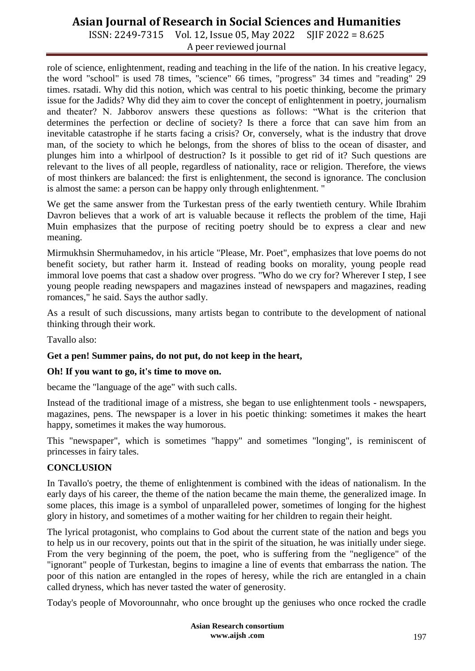ISSN: 2249-7315 Vol. 12, Issue 05, May 2022 SJIF 2022 = 8.625 A peer reviewed journal

role of science, enlightenment, reading and teaching in the life of the nation. In his creative legacy, the word "school" is used 78 times, "science" 66 times, "progress" 34 times and "reading" 29 times. rsatadi. Why did this notion, which was central to his poetic thinking, become the primary issue for the Jadids? Why did they aim to cover the concept of enlightenment in poetry, journalism and theater? N. Jabborov answers these questions as follows: "What is the criterion that determines the perfection or decline of society? Is there a force that can save him from an inevitable catastrophe if he starts facing a crisis? Or, conversely, what is the industry that drove man, of the society to which he belongs, from the shores of bliss to the ocean of disaster, and plunges him into a whirlpool of destruction? Is it possible to get rid of it? Such questions are relevant to the lives of all people, regardless of nationality, race or religion. Therefore, the views of most thinkers are balanced: the first is enlightenment, the second is ignorance. The conclusion is almost the same: a person can be happy only through enlightenment. "

We get the same answer from the Turkestan press of the early twentieth century. While Ibrahim Davron believes that a work of art is valuable because it reflects the problem of the time, Haji Muin emphasizes that the purpose of reciting poetry should be to express a clear and new meaning.

Mirmukhsin Shermuhamedov, in his article "Please, Mr. Poet", emphasizes that love poems do not benefit society, but rather harm it. Instead of reading books on morality, young people read immoral love poems that cast a shadow over progress. "Who do we cry for? Wherever I step, I see young people reading newspapers and magazines instead of newspapers and magazines, reading romances," he said. Says the author sadly.

As a result of such discussions, many artists began to contribute to the development of national thinking through their work.

Tavallo also:

### **Get a pen! Summer pains, do not put, do not keep in the heart,**

### **Oh! If you want to go, it's time to move on.**

became the "language of the age" with such calls.

Instead of the traditional image of a mistress, she began to use enlightenment tools - newspapers, magazines, pens. The newspaper is a lover in his poetic thinking: sometimes it makes the heart happy, sometimes it makes the way humorous.

This "newspaper", which is sometimes "happy" and sometimes "longing", is reminiscent of princesses in fairy tales.

### **CONCLUSION**

In Tavallo's poetry, the theme of enlightenment is combined with the ideas of nationalism. In the early days of his career, the theme of the nation became the main theme, the generalized image. In some places, this image is a symbol of unparalleled power, sometimes of longing for the highest glory in history, and sometimes of a mother waiting for her children to regain their height.

The lyrical protagonist, who complains to God about the current state of the nation and begs you to help us in our recovery, points out that in the spirit of the situation, he was initially under siege. From the very beginning of the poem, the poet, who is suffering from the "negligence" of the "ignorant" people of Turkestan, begins to imagine a line of events that embarrass the nation. The poor of this nation are entangled in the ropes of heresy, while the rich are entangled in a chain called dryness, which has never tasted the water of generosity.

Today's people of Movorounnahr, who once brought up the geniuses who once rocked the cradle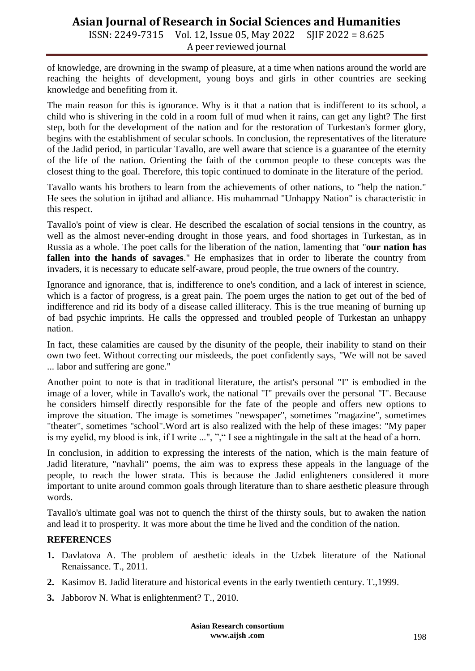ISSN: 2249-7315 Vol. 12, Issue 05, May 2022 SJIF 2022 = 8.625 A peer reviewed journal

of knowledge, are drowning in the swamp of pleasure, at a time when nations around the world are reaching the heights of development, young boys and girls in other countries are seeking knowledge and benefiting from it.

The main reason for this is ignorance. Why is it that a nation that is indifferent to its school, a child who is shivering in the cold in a room full of mud when it rains, can get any light? The first step, both for the development of the nation and for the restoration of Turkestan's former glory, begins with the establishment of secular schools. In conclusion, the representatives of the literature of the Jadid period, in particular Tavallo, are well aware that science is a guarantee of the eternity of the life of the nation. Orienting the faith of the common people to these concepts was the closest thing to the goal. Therefore, this topic continued to dominate in the literature of the period.

Tavallo wants his brothers to learn from the achievements of other nations, to "help the nation." He sees the solution in ijtihad and alliance. His muhammad "Unhappy Nation" is characteristic in this respect.

Tavallo's point of view is clear. He described the escalation of social tensions in the country, as well as the almost never-ending drought in those years, and food shortages in Turkestan, as in Russia as a whole. The poet calls for the liberation of the nation, lamenting that "**our nation has fallen into the hands of savages**." He emphasizes that in order to liberate the country from invaders, it is necessary to educate self-aware, proud people, the true owners of the country.

Ignorance and ignorance, that is, indifference to one's condition, and a lack of interest in science, which is a factor of progress, is a great pain. The poem urges the nation to get out of the bed of indifference and rid its body of a disease called illiteracy. This is the true meaning of burning up of bad psychic imprints. He calls the oppressed and troubled people of Turkestan an unhappy nation.

In fact, these calamities are caused by the disunity of the people, their inability to stand on their own two feet. Without correcting our misdeeds, the poet confidently says, "We will not be saved ... labor and suffering are gone."

Another point to note is that in traditional literature, the artist's personal "I" is embodied in the image of a lover, while in Tavallo's work, the national "I" prevails over the personal "I". Because he considers himself directly responsible for the fate of the people and offers new options to improve the situation. The image is sometimes "newspaper", sometimes "magazine", sometimes "theater", sometimes "school".Word art is also realized with the help of these images: "My paper is my eyelid, my blood is ink, if I write ...", "," I see a nightingale in the salt at the head of a horn.

In conclusion, in addition to expressing the interests of the nation, which is the main feature of Jadid literature, "navhali" poems, the aim was to express these appeals in the language of the people, to reach the lower strata. This is because the Jadid enlighteners considered it more important to unite around common goals through literature than to share aesthetic pleasure through words.

Tavallo's ultimate goal was not to quench the thirst of the thirsty souls, but to awaken the nation and lead it to prosperity. It was more about the time he lived and the condition of the nation.

### **REFERENCES**

- **1.** Davlatova A. The problem of aesthetic ideals in the Uzbek literature of the National Renaissance. T., 2011.
- **2.** Kasimov B. Jadid literature and historical events in the early twentieth century. T.,1999.
- **3.** Jabborov N. What is enlightenment? T., 2010.